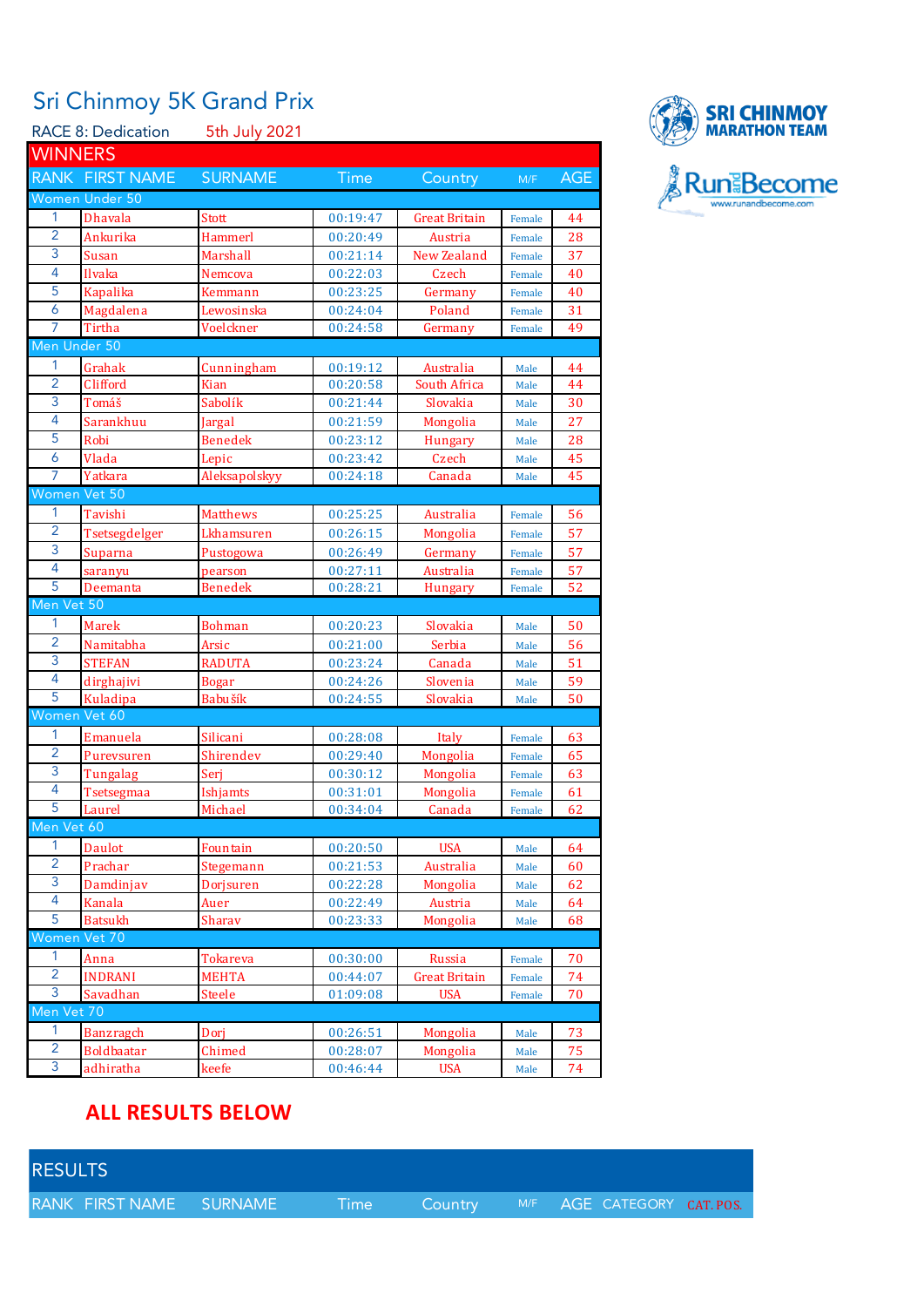## Sri Chinmoy 5K Grand Prix

|                     | <b>RACE 8: Dedication</b> | 5th July 2021           |                      |                          |                  |            |  |  |
|---------------------|---------------------------|-------------------------|----------------------|--------------------------|------------------|------------|--|--|
| <b>WINNERS</b>      |                           |                         |                      |                          |                  |            |  |  |
|                     | RANK FIRST NAME           | <b>SURNAME</b>          | <b>Time</b>          | Country                  | M/F              | <b>AGE</b> |  |  |
|                     | Women Under 50            |                         |                      |                          |                  |            |  |  |
| 1                   | <b>Dhavala</b>            | Stott                   | 00:19:47             |                          |                  | 44         |  |  |
| $\overline{2}$      | Ankurika                  | Hammerl                 | 00:20:49             | Great Britain<br>Austria | Female           | 28         |  |  |
| 3                   | Susan                     | Marshall                | 00:21:14             | New Zealand              | Female           | 37         |  |  |
| $\overline{4}$      | Ilvaka                    | Nemcova                 | 00:22:03             | Czech                    | Female           | 40         |  |  |
| 5                   | <b>Kapalika</b>           |                         |                      |                          | Female           | 40         |  |  |
| 6                   |                           | Kemmann                 | 00:23:25             | Germany                  | Female           |            |  |  |
| 7                   | Magdalena<br>Tirtha       | Lewosinska<br>Voelckner | 00:24:04<br>00:24:58 | Poland<br>Germany        | Female<br>Female | 31<br>49   |  |  |
| Men Under 50        |                           |                         |                      |                          |                  |            |  |  |
| 1                   |                           |                         |                      |                          |                  |            |  |  |
| $\overline{2}$      | Grahak                    | Cunningham              | 00:19:12             | Australia                | Male             | 44         |  |  |
| 3                   | Clifford                  | Kian                    | 00:20:58             | South Africa             | Male             | 44         |  |  |
| $\overline{4}$      | Tomáš                     | Sabolík                 | 00:21:44             | Slovakia                 | Male             | 30         |  |  |
| 5                   | Sarankhuu                 | Jargal                  | 00:21:59             | Mongolia                 | Male             | 27         |  |  |
| 6                   | Robi                      | <b>Benedek</b>          | 00:23:12             | <b>Hungary</b>           | Male             | 28         |  |  |
| 7                   | Vlada<br>Yatkara          | Lepic<br>Aleksapolskyy  | 00:23:42<br>00:24:18 | Czech<br>Canada          | Male             | 45<br>45   |  |  |
| Women Vet 50        |                           |                         |                      |                          | Male             |            |  |  |
|                     |                           |                         |                      |                          |                  |            |  |  |
| 1<br>$\overline{2}$ | Tavishi                   | Matthews                | 00:25:25             | Australia                | Female           | 56         |  |  |
| 3                   | Tsetsegdelger             | Lkhamsuren              | 00:26:15             | Mongolia                 | Female           | 57         |  |  |
|                     | Suparna                   | Pustogowa               | 00:26:49             | Germany                  | Female           | 57         |  |  |
| 4<br>5              | saranyu                   | pearson                 | 00:27:11             | Australia                | Female           | 57         |  |  |
| Men Vet 50          | Deemanta                  | <b>Benedek</b>          | 00:28:21             | <b>Hungary</b>           | Female           | 52         |  |  |
| 1                   |                           |                         |                      |                          |                  |            |  |  |
| $\overline{2}$      | Marek                     | <b>Bohman</b>           | 00:20:23             | Slovakia                 | Male             | 50         |  |  |
| 3                   | Namitabha                 | Arsic                   | 00:21:00             | Serbia                   | Male             | 56         |  |  |
|                     | <b>STEFAN</b>             | <b>RADUTA</b>           | 00:23:24             | Canada                   | Male             | 51         |  |  |
| 4<br>5              | dirghajivi                | <b>Bogar</b>            | 00:24:26             | Slovenia                 | Male             | 59         |  |  |
| Women Vet 60        | <b>Kuladipa</b>           | Babušík                 | 00:24:55             | Slovakia                 | Male             | 50         |  |  |
| 1                   |                           |                         |                      |                          |                  |            |  |  |
| $\overline{2}$      | Emanuela                  | Silicani                | 00:28:08             | Italy                    | Female           | 63         |  |  |
| 3                   | Purevsuren                | Shirendev               | 00:29:40             | Mongolia                 | Female           | 65         |  |  |
| 4                   | Tungalag                  | Seri                    | 00:30:12             | Mongolia                 | Female           | 63         |  |  |
| 5                   | Tsetsegmaa                | Ishjamts                | 00:31:01             | Mongolia                 | Female           | 61         |  |  |
| Men Vet 60          | Laurel                    | Michael                 | 00:34:04             | Canada                   | Female           | 62         |  |  |
| 1                   |                           |                         |                      |                          |                  |            |  |  |
| $\overline{2}$      | Daulot                    | Fountain                | 00:20:50             | <b>USA</b>               | Male             | 64         |  |  |
| 3                   | Prachar                   | Stegemann               | 00:21:53             | Australia                | Male             | 60         |  |  |
| 4                   | Damdinjav                 | Dorjsuren               | 00:22:28             | Mongolia                 | Male             | 62         |  |  |
| 5                   | Kanala                    | Auer                    | 00:22:49             | Austria                  | Male             | 64         |  |  |
|                     | <b>Batsukh</b>            | Sharav                  | 00:23:33             | Mongolia                 | Male             | 68         |  |  |
| Women               | <b>Vet 70</b>             |                         |                      |                          |                  |            |  |  |
| 1                   | Anna                      | Tokareva                | 00:30:00             | Russia                   | Female           | 70         |  |  |
| $\overline{2}$<br>3 | <b>INDRANI</b>            | <b>MEHTA</b>            | 00:44:07             | Great Britain            | Female           | 74         |  |  |
| Men Vet 70          | Savadhan                  | Steele                  | 01:09:08             | <b>USA</b>               | Female           | 70         |  |  |
|                     |                           |                         |                      |                          |                  |            |  |  |
| 1                   | <b>Banzragch</b>          | Dorj                    | 00:26:51             | Mongolia                 | Male             | 73         |  |  |
| $\overline{2}$      | <b>Boldbaatar</b>         | Chimed                  | 00:28:07             | Mongolia                 | Male             | 75         |  |  |
| 3                   | adhiratha                 | keefe                   | 00:46:44             | <b>USA</b>               | Male             | 74         |  |  |

## **ALL RESULTS BELOW**

| <b>RESULTS</b>          |          |  |                                    |  |
|-------------------------|----------|--|------------------------------------|--|
| RANK FIRST NAME SURNAME | Time and |  | Country M/F AGE CATEGORY CAT. POS. |  |

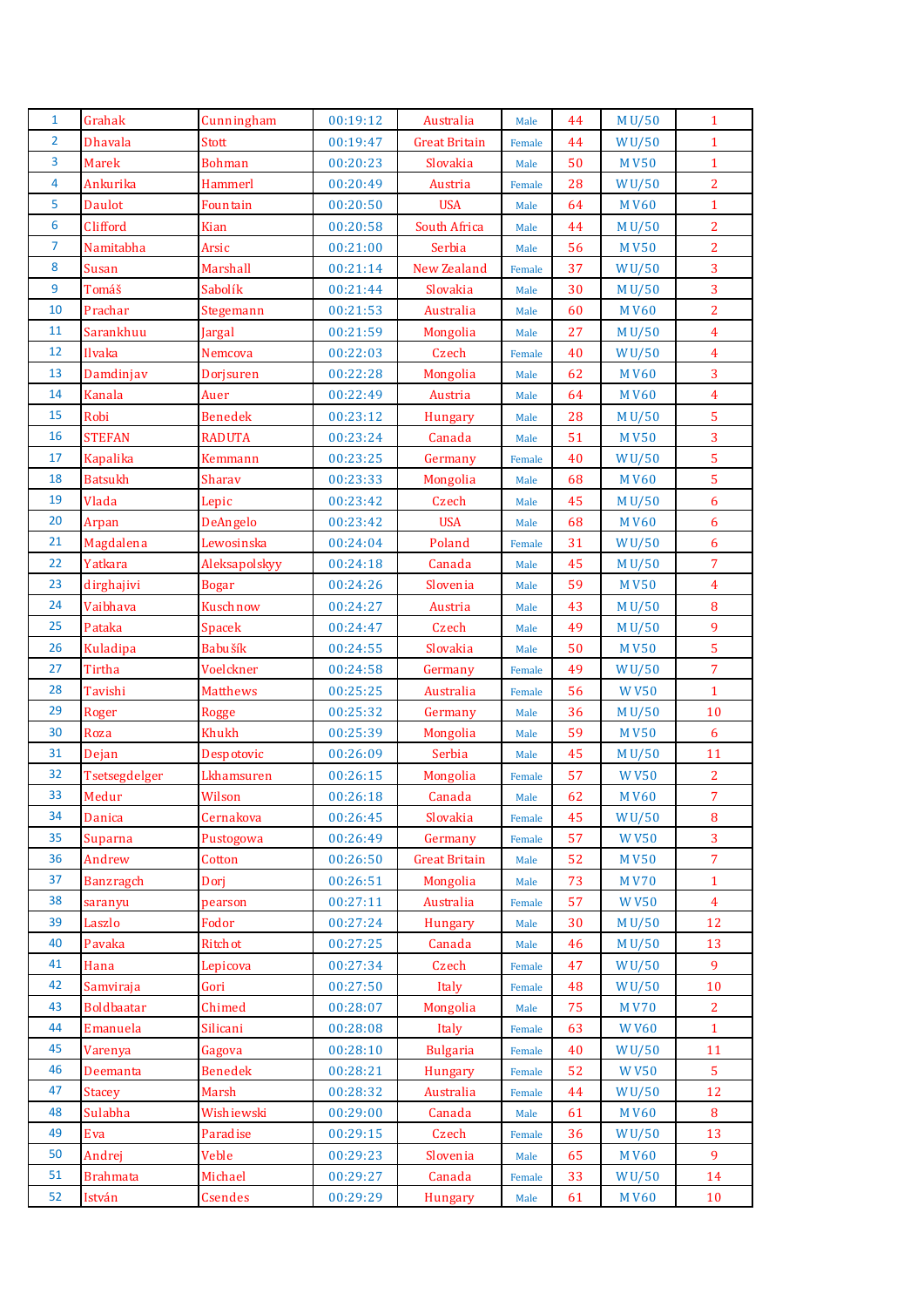| $\mathbf{1}$   | Grahak            | Cunningham      | 00:19:12 | Australia            | Male   | 44 | M U/50             | $\mathbf{1}$     |
|----------------|-------------------|-----------------|----------|----------------------|--------|----|--------------------|------------------|
| $\overline{2}$ | <b>Dhavala</b>    | <b>Stott</b>    | 00:19:47 | <b>Great Britain</b> | Female | 44 | WU/50              | $\mathbf{1}$     |
| 3              | <b>Marek</b>      | <b>Bohman</b>   | 00:20:23 | Slovakia             | Male   | 50 | <b>MV50</b>        | $\mathbf{1}$     |
| $\overline{4}$ | Ankurika          | <b>Hammerl</b>  | 00:20:49 | Austria              | Female | 28 | WU/50              | $\overline{2}$   |
| 5              | <b>Daulot</b>     | Fountain        | 00:20:50 | <b>USA</b>           | Male   | 64 | <b>MV60</b>        | $\mathbf 1$      |
| 6              | Clifford          | Kian            | 00:20:58 | South Africa         | Male   | 44 | M U/50             | $\overline{2}$   |
| $\overline{7}$ | Namitabha         | Arsic           | 00:21:00 | Serbia               | Male   | 56 | <b>MV50</b>        | $\overline{2}$   |
| 8              | Susan             | Marshall        | 00:21:14 | <b>New Zealand</b>   | Female | 37 | WU/50              | $\overline{3}$   |
| $\overline{9}$ | Tomáš             | Sabolík         | 00:21:44 | Slovakia             | Male   | 30 | M U/50             | $\overline{3}$   |
| 10             | Prachar           | Stegemann       | 00:21:53 | Australia            | Male   | 60 | <b>MV60</b>        | $\overline{2}$   |
| 11             | Sarankhuu         | Jargal          | 00:21:59 | Mongolia             | Male   | 27 | M U/50             | $\overline{4}$   |
| 12             | Ilvaka            | Nemcova         | 00:22:03 | Czech                | Female | 40 | WU/50              | $\overline{4}$   |
| 13             | Damdinjav         | Dorjsuren       | 00:22:28 | Mongolia             | Male   | 62 | <b>MV60</b>        | $\overline{3}$   |
| 14             | Kanala            | Auer            | 00:22:49 | Austria              | Male   | 64 | <b>MV60</b>        | $\overline{4}$   |
| 15             | Robi              | <b>Benedek</b>  | 00:23:12 | Hungary              | Male   | 28 | M U/50             | $\overline{5}$   |
| 16             | <b>STEFAN</b>     | <b>RADUTA</b>   | 00:23:24 | Canada               | Male   | 51 | <b>MV50</b>        | 3                |
| 17             | <b>Kapalika</b>   | Kemmann         | 00:23:25 | Germany              | Female | 40 | WU/50              | $\overline{5}$   |
| 18             | <b>Batsukh</b>    | Sharav          | 00:23:33 | Mongolia             | Male   | 68 | <b>MV60</b>        | 5                |
| 19             | Vlada             | Lepic           | 00:23:42 | Czech                | Male   | 45 | M U/50             | $6\phantom{a}$   |
| 20             | Arpan             | DeAngelo        | 00:23:42 | <b>USA</b>           | Male   | 68 | <b>MV60</b>        | 6                |
| 21             | Magdalena         | Lewosinska      | 00:24:04 | Poland               | Female | 31 | WU/50              | 6                |
| 22             | Yatkara           | Aleksapolskyy   | 00:24:18 | Canada               | Male   | 45 | M U/50             | $\overline{7}$   |
| 23             | dirghajivi        | <b>Bogar</b>    | 00:24:26 | Slovenia             | Male   | 59 | <b>MV50</b>        | $\overline{4}$   |
| 24             | Vaibhava          | Kuschnow        | 00:24:27 | Austria              | Male   | 43 | M U/50             | 8                |
| 25             | Pataka            | <b>Spacek</b>   | 00:24:47 | Czech                | Male   | 49 | M U/50             | 9                |
| 26             | Kuladipa          | Babušík         | 00:24:55 | Slovakia             | Male   | 50 | <b>MV50</b>        | $\overline{5}$   |
| 27             | Tirtha            | Voelckner       | 00:24:58 | Germany              | Female | 49 | WU/50              | $\overline{7}$   |
| 28             | Tavishi           | <b>Matthews</b> | 00:25:25 | Australia            | Female | 56 | <b>WV50</b>        | $\mathbf{1}$     |
| 29             | Roger             | <b>Rogge</b>    | 00:25:32 | Germany              | Male   | 36 | M U/50             | 10               |
| 30             | Roza              | Khukh           | 00:25:39 | Mongolia             | Male   | 59 | <b>MV50</b>        | $\boldsymbol{6}$ |
| 31             | Dejan             | Despotovic      | 00:26:09 | Serbia               | Male   | 45 | M U/50             | 11               |
| 32             | Tsetsegdelger     | Lkhamsuren      | 00:26:15 | Mongolia             | Female | 57 | <b>WV50</b>        | $\overline{2}$   |
| 33             | Medur             | Wilson          | 00:26:18 | Canada               | Male   | 62 | <b>MV60</b>        | $\overline{7}$   |
| 34             | Danica            | Cernakova       | 00:26:45 | Slovakia             | Female | 45 | <b>WU/50</b>       | 8                |
| 35             | Suparna           | Pustogowa       | 00:26:49 | Germany              | Female | 57 | <b>WV50</b>        | 3                |
| 36             | Andrew            | Cotton          | 00:26:50 | <b>Great Britain</b> | Male   | 52 | <b>MV50</b>        | $\overline{7}$   |
| 37             | <b>Banzragch</b>  | Dori            | 00:26:51 | Mongolia             | Male   | 73 | <b>MV70</b>        | $\mathbf{1}$     |
| 38             | saranyu           | pearson         | 00:27:11 | Australia            | Female | 57 | <b>WV50</b>        | $\overline{4}$   |
| 39             | Laszlo            | Fodor           | 00:27:24 | Hungary              | Male   | 30 | M U/50             | 12               |
| 40             | Pavaka            | Ritchot         | 00:27:25 | Canada               | Male   | 46 | M U/50             | 13               |
| 41             | Hana              | Lepicova        | 00:27:34 | Czech                | Female | 47 | WU/50              | 9                |
| 42             | Samviraja         | Gori            | 00:27:50 | Italy                | Female | 48 | WU/50              | 10               |
| 43             | <b>Boldbaatar</b> | Chimed          | 00:28:07 | Mongolia             | Male   | 75 | <b>MV70</b>        | $\overline{2}$   |
| 44             | Emanuela          | Silicani        | 00:28:08 | Italy                | Female | 63 | <b>WV60</b>        | $\mathbf{1}$     |
| 45             | Varenya           | Gagova          | 00:28:10 | <b>Bulgaria</b>      | Female | 40 | W <sub>U</sub> /50 | 11               |
| 46             | Deemanta          | <b>Benedek</b>  | 00:28:21 | <b>Hungary</b>       | Female | 52 | <b>WV50</b>        | 5                |
| 47             | <b>Stacey</b>     | Marsh           | 00:28:32 | Australia            | Female | 44 | W <sub>U</sub> /50 | 12               |
| 48             | Sulabha           | Wishiewski      | 00:29:00 | Canada               | Male   | 61 | <b>MV60</b>        | 8                |
| 49             | Eva               | Paradise        | 00:29:15 | Czech                | Female | 36 | W <sub>U</sub> /50 | 13               |
| 50             | Andrej            | Veble           | 00:29:23 | Slovenia             | Male   | 65 | <b>MV60</b>        | 9                |
| 51             | <b>Brahmata</b>   | Michael         | 00:29:27 | Canada               | Female | 33 | WU/50              | 14               |
| 52             | István            | Csendes         | 00:29:29 | Hungary              | Male   | 61 | <b>MV60</b>        | 10               |
|                |                   |                 |          |                      |        |    |                    |                  |